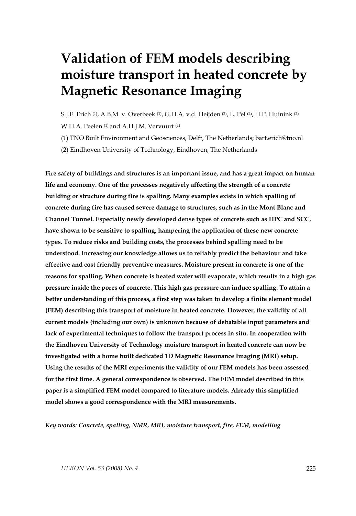# **Validation of FEM models describing moisture transport in heated concrete by Magnetic Resonance Imaging**

S.J.F. Erich (1), A.B.M. v. Overbeek (1), G.H.A. v.d. Heijden (2), L. Pel (2), H.P. Huinink (2) W.H.A. Peelen<sup>(1)</sup> and A.H.I.M. Vervuurt<sup>(1)</sup>

(1) TNO Built Environment and Geosciences, Delft, The Netherlands; bart.erich@tno.nl

(2) Eindhoven University of Technology, Eindhoven, The Netherlands

**Fire safety of buildings and structures is an important issue, and has a great impact on human life and economy. One of the processes negatively affecting the strength of a concrete building or structure during fire is spalling. Many examples exists in which spalling of concrete during fire has caused severe damage to structures, such as in the Mont Blanc and Channel Tunnel. Especially newly developed dense types of concrete such as HPC and SCC, have shown to be sensitive to spalling, hampering the application of these new concrete types. To reduce risks and building costs, the processes behind spalling need to be understood. Increasing our knowledge allows us to reliably predict the behaviour and take effective and cost friendly preventive measures. Moisture present in concrete is one of the reasons for spalling. When concrete is heated water will evaporate, which results in a high gas pressure inside the pores of concrete. This high gas pressure can induce spalling. To attain a better understanding of this process, a first step was taken to develop a finite element model (FEM) describing this transport of moisture in heated concrete. However, the validity of all current models (including our own) is unknown because of debatable input parameters and lack of experimental techniques to follow the transport process in situ. In cooperation with the Eindhoven University of Technology moisture transport in heated concrete can now be investigated with a home built dedicated 1D Magnetic Resonance Imaging (MRI) setup. Using the results of the MRI experiments the validity of our FEM models has been assessed for the first time. A general correspondence is observed. The FEM model described in this paper is a simplified FEM model compared to literature models. Already this simplified model shows a good correspondence with the MRI measurements.** 

*Key words: Concrete, spalling, NMR, MRI, moisture transport, fire, FEM, modelling*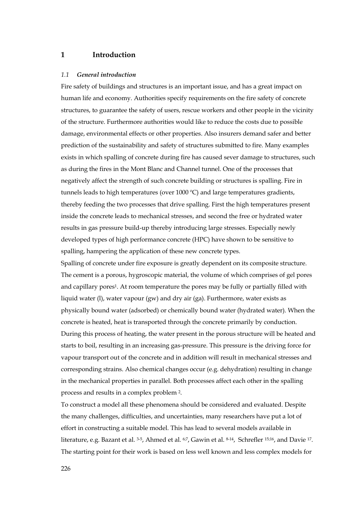## **1 Introduction**

#### *1.1 General introduction*

Fire safety of buildings and structures is an important issue, and has a great impact on human life and economy. Authorities specify requirements on the fire safety of concrete structures, to guarantee the safety of users, rescue workers and other people in the vicinity of the structure. Furthermore authorities would like to reduce the costs due to possible damage, environmental effects or other properties. Also insurers demand safer and better prediction of the sustainability and safety of structures submitted to fire. Many examples exists in which spalling of concrete during fire has caused sever damage to structures, such as during the fires in the Mont Blanc and Channel tunnel. One of the processes that negatively affect the strength of such concrete building or structures is spalling. Fire in tunnels leads to high temperatures (over 1000 ºC) and large temperatures gradients, thereby feeding the two processes that drive spalling. First the high temperatures present inside the concrete leads to mechanical stresses, and second the free or hydrated water results in gas pressure build-up thereby introducing large stresses. Especially newly developed types of high performance concrete (HPC) have shown to be sensitive to spalling, hampering the application of these new concrete types.

Spalling of concrete under fire exposure is greatly dependent on its composite structure. The cement is a porous, hygroscopic material, the volume of which comprises of gel pores and capillary pores1. At room temperature the pores may be fully or partially filled with liquid water (l), water vapour (gw) and dry air (ga). Furthermore, water exists as physically bound water (adsorbed) or chemically bound water (hydrated water). When the concrete is heated, heat is transported through the concrete primarily by conduction. During this process of heating, the water present in the porous structure will be heated and starts to boil, resulting in an increasing gas-pressure. This pressure is the driving force for vapour transport out of the concrete and in addition will result in mechanical stresses and corresponding strains. Also chemical changes occur (e.g. dehydration) resulting in change in the mechanical properties in parallel. Both processes affect each other in the spalling process and results in a complex problem 2.

To construct a model all these phenomena should be considered and evaluated. Despite the many challenges, difficulties, and uncertainties, many researchers have put a lot of effort in constructing a suitable model. This has lead to several models available in literature, e.g. Bazant et al. 3-5, Ahmed et al. 6;7, Gawin et al. 8-14, Schrefler 15;16, and Davie 17. The starting point for their work is based on less well known and less complex models for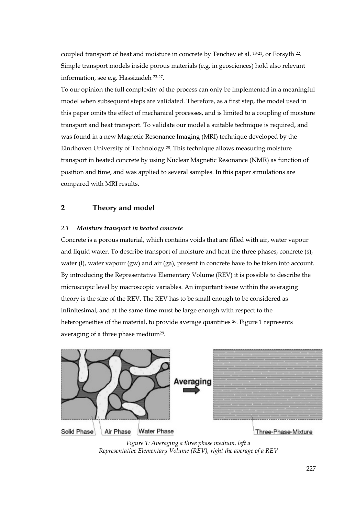coupled transport of heat and moisture in concrete by Tenchev et al. 18-21, or Forsyth 22. Simple transport models inside porous materials (e.g. in geosciences) hold also relevant information, see e.g. Hassizadeh 23-27.

To our opinion the full complexity of the process can only be implemented in a meaningful model when subsequent steps are validated. Therefore, as a first step, the model used in this paper omits the effect of mechanical processes, and is limited to a coupling of moisture transport and heat transport. To validate our model a suitable technique is required, and was found in a new Magnetic Resonance Imaging (MRI) technique developed by the Eindhoven University of Technology 28. This technique allows measuring moisture transport in heated concrete by using Nuclear Magnetic Resonance (NMR) as function of position and time, and was applied to several samples. In this paper simulations are compared with MRI results.

### **2 Theory and model**

#### *2.1 Moisture transport in heated concrete*

Concrete is a porous material, which contains voids that are filled with air, water vapour and liquid water. To describe transport of moisture and heat the three phases, concrete (s), water (1), water vapour (gw) and air (ga), present in concrete have to be taken into account. By introducing the Representative Elementary Volume (REV) it is possible to describe the microscopic level by macroscopic variables. An important issue within the averaging theory is the size of the REV. The REV has to be small enough to be considered as infinitesimal, and at the same time must be large enough with respect to the heterogeneities of the material, to provide average quantities <sup>26</sup>. Figure 1 represents averaging of a three phase medium<sup>29</sup>.



*Figure 1: Averaging a three phase medium, left a Representative Elementary Volume (REV), right the average of a REV*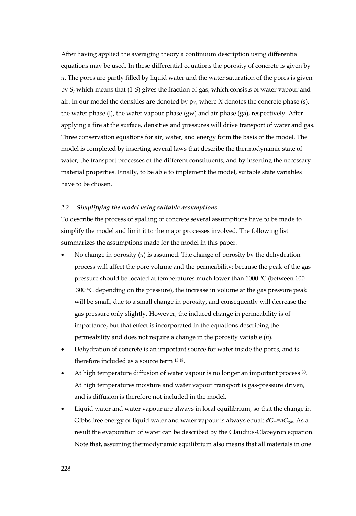After having applied the averaging theory a continuum description using differential equations may be used. In these differential equations the porosity of concrete is given by *n*. The pores are partly filled by liquid water and the water saturation of the pores is given by *S*, which means that (1*-S*) gives the fraction of gas, which consists of water vapour and air. In our model the densities are denoted by  $\rho_X$ , where *X* denotes the concrete phase (s), the water phase (l), the water vapour phase (gw) and air phase (ga), respectively. After applying a fire at the surface, densities and pressures will drive transport of water and gas. Three conservation equations for air, water, and energy form the basis of the model. The model is completed by inserting several laws that describe the thermodynamic state of water, the transport processes of the different constituents, and by inserting the necessary material properties. Finally, to be able to implement the model, suitable state variables have to be chosen.

#### *2.2 Simplifying the model using suitable assumptions*

To describe the process of spalling of concrete several assumptions have to be made to simplify the model and limit it to the major processes involved. The following list summarizes the assumptions made for the model in this paper.

- No change in porosity (*n*) is assumed. The change of porosity by the dehydration process will affect the pore volume and the permeability; because the peak of the gas pressure should be located at temperatures much lower than 1000 ºC (between 100 – 300 ºC depending on the pressure), the increase in volume at the gas pressure peak will be small, due to a small change in porosity, and consequently will decrease the gas pressure only slightly. However, the induced change in permeability is of importance, but that effect is incorporated in the equations describing the permeability and does not require a change in the porosity variable (*n*).
- Dehydration of concrete is an important source for water inside the pores, and is therefore included as a source term 13;18.
- At high temperature diffusion of water vapour is no longer an important process 30. At high temperatures moisture and water vapour transport is gas-pressure driven, and is diffusion is therefore not included in the model.
- Liquid water and water vapour are always in local equilibrium, so that the change in Gibbs free energy of liquid water and water vapour is always equal:  $dG_w = dG_w$ . As a result the evaporation of water can be described by the Claudius-Clapeyron equation. Note that, assuming thermodynamic equilibrium also means that all materials in one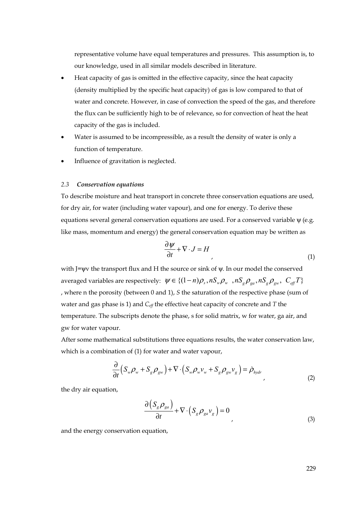representative volume have equal temperatures and pressures. This assumption is, to our knowledge, used in all similar models described in literature.

- Heat capacity of gas is omitted in the effective capacity, since the heat capacity (density multiplied by the specific heat capacity) of gas is low compared to that of water and concrete. However, in case of convection the speed of the gas, and therefore the flux can be sufficiently high to be of relevance, so for convection of heat the heat capacity of the gas is included.
- Water is assumed to be incompressible, as a result the density of water is only a function of temperature.
- Influence of gravitation is neglected.

#### *2.3 Conservation equations*

To describe moisture and heat transport in concrete three conservation equations are used, for dry air, for water (including water vapour), and one for energy. To derive these equations several general conservation equations are used. For a conserved variable  $ψ$  (e.g. like mass, momentum and energy) the general conservation equation may be written as

$$
\frac{\partial \psi}{\partial t} + \nabla \cdot J = H \tag{1}
$$

with J=ψv the transport flux and H the source or sink of ψ. In our model the conserved averaged variables are respectively:  $\psi \in \{(1-n)\rho_s, nS_w\rho_w, nS_g\rho_{ga}, nS_g\rho_{gw}, C_{eff}T\}$ , where n the porosity (between 0 and 1), *S* the saturation of the respective phase (sum of water and gas phase is 1) and *Ceff* the effective heat capacity of concrete and *T* the temperature. The subscripts denote the phase, s for solid matrix, w for water, ga air, and gw for water vapour.

After some mathematical substitutions three equations results, the water conservation law, which is a combination of (1) for water and water vapour,

$$
\frac{\partial}{\partial t}\left(S_w \rho_w + S_g \rho_{gw}\right) + \nabla \cdot \left(S_w \rho_w \nu_w + S_g \rho_{gw} \nu_g\right) = \dot{\rho}_{\text{hydr}}
$$
\n(2)

the dry air equation,

$$
\frac{\partial (S_g \rho_{ga})}{\partial t} + \nabla \cdot (S_g \rho_{ga} v_g) = 0
$$
\n(3)

and the energy conservation equation,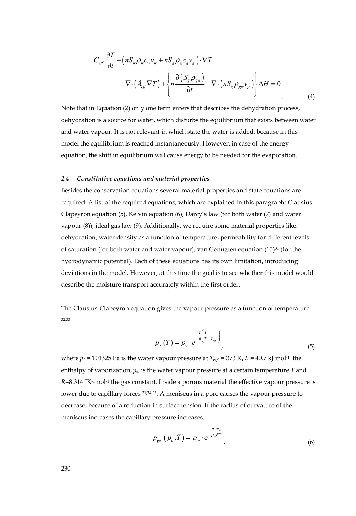$$
C_{\text{eff}} \frac{\partial T}{\partial t} + (nS_{\text{w}} \rho_{\text{w}} c_{\text{w}} v_{\text{w}} + nS_{\text{g}} \rho_{\text{g}} c_{\text{g}} v_{\text{g}}) \cdot \nabla T
$$
  

$$
-\nabla \cdot (\lambda_{\text{eff}} \nabla T) + \left\{ n \frac{\partial (S_{\text{g}} \rho_{\text{g}} v)}{\partial t} + \nabla \cdot (nS_{\text{g}} \rho_{\text{g}} v_{\text{g}}) \right\} \Delta H = 0
$$
 (4)

Note that in Equation (2) only one term enters that describes the dehydration process, dehydration is a source for water, which disturbs the equilibrium that exists between water and water vapour. It is not relevant in which state the water is added, because in this model the equilibrium is reached instantaneously. However, in case of the energy equation, the shift in equilibrium will cause energy to be needed for the evaporation.

#### *2.4 Constitutive equations and material properties*

Besides the conservation equations several material properties and state equations are required. A list of the required equations, which are explained in this paragraph: Clausius-Clapeyron equation (5), Kelvin equation (6), Darcy's law (for both water (7) and water vapour (8)), ideal gas law (9). Additionally, we require some material properties like: dehydration, water density as a function of temperature, permeability for different levels of saturation (for both water and water vapour), van Genugten equation (10)31 (for the hydrodynamic potential). Each of these equations has its own limitation, introducing deviations in the model. However, at this time the goal is to see whether this model would describe the moisture transport accurately within the first order.

The Clausius-Clapeyron equation gives the vapour pressure as a function of temperature 32;33

$$
p_{\infty}(T) = p_0 \cdot e^{-\frac{L}{R} \left( \frac{1}{T} - \frac{1}{T_{ref}} \right)}
$$
\n<sup>(5)</sup>

where  $p_0$  = 101325 Pa is the water vapour pressure at  $T_{ref}$  = 373 K,  $L$  = 40.7 kJ mol<sup>-1</sup> the enthalpy of vaporization,  $p_{\infty}$  is the water vapour pressure at a certain temperature *T* and  $R$ =8.314 JK<sup>-1</sup>mol<sup>-1</sup> the gas constant. Inside a porous material the effective vapour pressure is lower due to capillary forces  $31;34;35$ . A meniscus in a pore causes the vapour pressure to decrease, because of a reduction in surface tension. If the radius of curvature of the meniscus increases the capillary pressure increases.

$$
p_{\rm gw}(p_c, T) = p_{\infty} \cdot e^{-\frac{P_c m_w}{\rho_w RT}}, \tag{6}
$$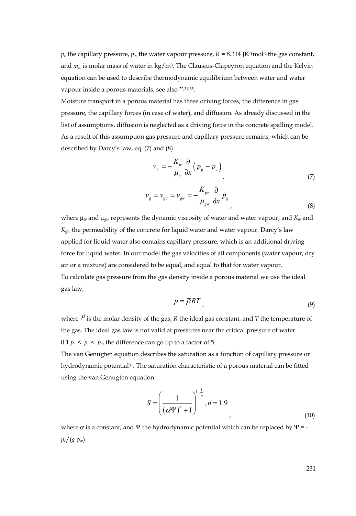$p_c$  the capillary pressure,  $p_\infty$  the water vapour pressure,  $R = 8.314$  JK<sup>-1</sup>mol<sup>-1</sup> the gas constant, and  $m_w$  is molar mass of water in kg/m<sup>3</sup>. The Clausius-Clapeyron equation and the Kelvin equation can be used to describe thermodynamic equilibrium between water and water vapour inside a porous materials, see also 22;34;35.

Moisture transport in a porous material has three driving forces, the difference in gas pressure, the capillary forces (in case of water), and diffusion. As already discussed in the list of assumptions, diffusion is neglected as a driving force in the concrete spalling model. As a result of this assumption gas pressure and capillary pressure remains, which can be described by Darcy's law, eq. (7) and (8).

$$
v_w = -\frac{K_w}{\mu_w} \frac{\partial}{\partial x} \left( p_g - p_c \right) \tag{7}
$$

$$
v_g \simeq v_{ga} \simeq v_{gw} = -\frac{K_{gw}}{\mu_{gw}} \frac{\partial}{\partial x} p_g
$$
\n(8)

where  $\mu_w$  and  $\mu_{vw}$  represents the dynamic viscosity of water and water vapour, and  $K_w$  and *Kgw* the permeability of the concrete for liquid water and water vapour. Darcy's law applied for liquid water also contains capillary pressure, which is an additional driving force for liquid water. In our model the gas velocities of all components (water vapour, dry air or a mixture) are considered to be equal, and equal to that for water vapour. To calculate gas pressure from the gas density inside a porous material we use the ideal gas law,

$$
p = \overline{\rho}RT \tag{9}
$$

where  $\overline{P}$  is the molar density of the gas, *R* the ideal gas constant, and *T* the temperature of the gas. The ideal gas law is not valid at pressures near the critical pressure of water 0.1  $p_c < p < p_c$ , the difference can go up to a factor of 5.

The van Genugten equation describes the saturation as a function of capillary pressure or hydrodynamic potential31. The saturation characteristic of a porous material can be fitted using the van Genugten equation:

$$
S = \left(\frac{1}{\left(\alpha \Psi\right)^n + 1}\right)^{1 - \frac{1}{n}}, n = 1.9
$$
\n(10)

where  $\alpha$  is a constant, and Ψ the hydrodynamic potential which can be replaced by Ψ = *pc*/(*g* ρ*w*).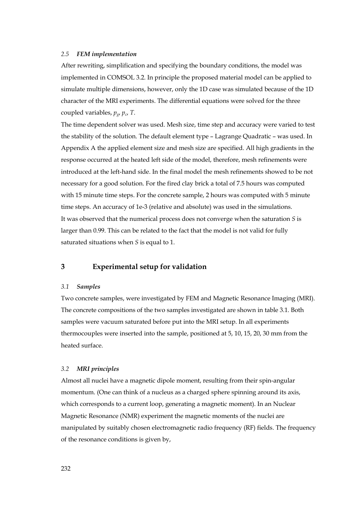#### *2.5 FEM implementation*

After rewriting, simplification and specifying the boundary conditions, the model was implemented in COMSOL 3.2. In principle the proposed material model can be applied to simulate multiple dimensions, however, only the 1D case was simulated because of the 1D character of the MRI experiments. The differential equations were solved for the three coupled variables, *pg*, *pc*, *T*.

The time dependent solver was used. Mesh size, time step and accuracy were varied to test the stability of the solution. The default element type – Lagrange Quadratic – was used. In Appendix A the applied element size and mesh size are specified. All high gradients in the response occurred at the heated left side of the model, therefore, mesh refinements were introduced at the left-hand side. In the final model the mesh refinements showed to be not necessary for a good solution. For the fired clay brick a total of 7.5 hours was computed with 15 minute time steps. For the concrete sample, 2 hours was computed with 5 minute time steps. An accuracy of 1e-3 (relative and absolute) was used in the simulations. It was observed that the numerical process does not converge when the saturation *S* is larger than 0.99. This can be related to the fact that the model is not valid for fully saturated situations when *S* is equal to 1.

#### **3 Experimental setup for validation**

#### *3.1 Samples*

Two concrete samples, were investigated by FEM and Magnetic Resonance Imaging (MRI). The concrete compositions of the two samples investigated are shown in table 3.1. Both samples were vacuum saturated before put into the MRI setup. In all experiments thermocouples were inserted into the sample, positioned at 5, 10, 15, 20, 30 mm from the heated surface.

#### *3.2 MRI principles*

Almost all nuclei have a magnetic dipole moment, resulting from their spin-angular momentum. (One can think of a nucleus as a charged sphere spinning around its axis, which corresponds to a current loop, generating a magnetic moment). In an Nuclear Magnetic Resonance (NMR) experiment the magnetic moments of the nuclei are manipulated by suitably chosen electromagnetic radio frequency (RF) fields. The frequency of the resonance conditions is given by,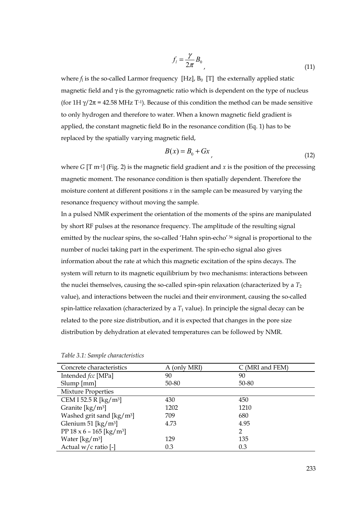$$
f_i = \frac{\gamma}{2\pi} B_0 \tag{11}
$$

where  $f_1$  is the so-called Larmor frequency  $[Hz]$ ,  $B_0$   $[T]$  the externally applied static magnetic field and  $\gamma$  is the gyromagnetic ratio which is dependent on the type of nucleus (for 1H  $\gamma/2\pi$  = 42.58 MHz T<sup>-1</sup>). Because of this condition the method can be made sensitive to only hydrogen and therefore to water. When a known magnetic field gradient is applied, the constant magnetic field Bo in the resonance condition (Eq. 1) has to be replaced by the spatially varying magnetic field,

$$
B(x) = B_0 + Gx \tag{12}
$$

where *G* [T m<sup>-1</sup>] (Fig. 2) is the magnetic field gradient and *x* is the position of the precessing magnetic moment. The resonance condition is then spatially dependent. Therefore the moisture content at different positions *x* in the sample can be measured by varying the resonance frequency without moving the sample.

In a pulsed NMR experiment the orientation of the moments of the spins are manipulated by short RF pulses at the resonance frequency. The amplitude of the resulting signal emitted by the nuclear spins, the so-called 'Hahn spin-echo'<sup>36</sup> signal is proportional to the number of nuclei taking part in the experiment. The spin-echo signal also gives information about the rate at which this magnetic excitation of the spins decays. The system will return to its magnetic equilibrium by two mechanisms: interactions between the nuclei themselves, causing the so-called spin-spin relaxation (characterized by a *T*<sup>2</sup> value), and interactions between the nuclei and their environment, causing the so-called spin-lattice relaxation (characterized by a  $T_1$  value). In principle the signal decay can be related to the pore size distribution, and it is expected that changes in the pore size distribution by dehydration at elevated temperatures can be followed by NMR.

| Concrete characteristics                            | A (only MRI) | C (MRI and FEM) |
|-----------------------------------------------------|--------------|-----------------|
| Intended fcc [MPa]                                  | 90           | 90              |
| $Slump$ [mm]                                        | 50-80        | 50-80           |
| <b>Mixture Properties</b>                           |              |                 |
| CEM I 52.5 R [kg/m <sup>3</sup> ]                   | 430          | 450             |
| Granite $\left[\frac{\text{kg}}{\text{m}^3}\right]$ | 1202         | 1210            |
| Washed grit sand [kg/m <sup>3</sup> ]               | 709          | 680             |
| Glenium 51 [ $\text{kg/m}^3$ ]                      | 4.73         | 4.95            |
| PP $18 \times 6 - 165$ [kg/m <sup>3</sup> ]         |              | 2               |
| Water $\left[\frac{\text{kg}}{\text{m}^3}\right]$   | 129          | 135             |
| Actual $w/c$ ratio [-]                              | 0.3          | 0.3             |

*Table 3.1: Sample characteristics*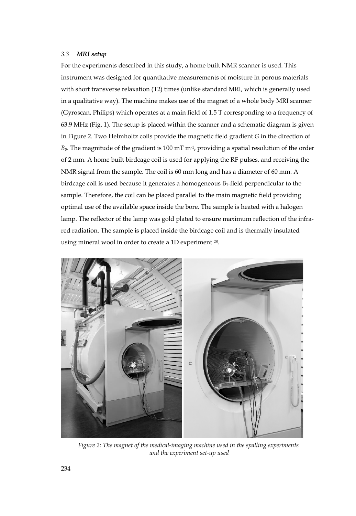#### *3.3 MRI setup*

For the experiments described in this study, a home built NMR scanner is used. This instrument was designed for quantitative measurements of moisture in porous materials with short transverse relaxation (T2) times (unlike standard MRI, which is generally used in a qualitative way). The machine makes use of the magnet of a whole body MRI scanner (Gyroscan, Philips) which operates at a main field of 1.5 T corresponding to a frequency of 63.9 MHz (Fig. 1). The setup is placed within the scanner and a schematic diagram is given in Figure 2. Two Helmholtz coils provide the magnetic field gradient *G* in the direction of *B0*. The magnitude of the gradient is 100 mT m-1, providing a spatial resolution of the order of 2 mm. A home built birdcage coil is used for applying the RF pulses, and receiving the NMR signal from the sample. The coil is 60 mm long and has a diameter of 60 mm. A birdcage coil is used because it generates a homogeneous B1-field perpendicular to the sample. Therefore, the coil can be placed parallel to the main magnetic field providing optimal use of the available space inside the bore. The sample is heated with a halogen lamp. The reflector of the lamp was gold plated to ensure maximum reflection of the infrared radiation. The sample is placed inside the birdcage coil and is thermally insulated using mineral wool in order to create a 1D experiment 28.



*Figure 2: The magnet of the medical-imaging machine used in the spalling experiments and the experiment set-up used*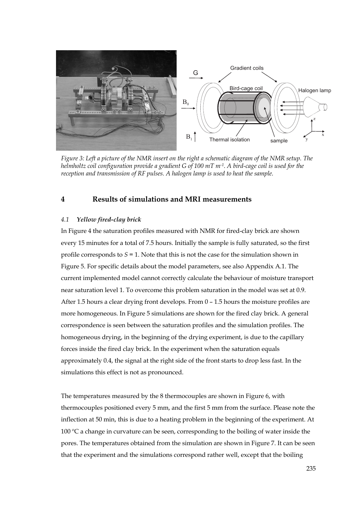

*Figure 3: Left a picture of the NMR insert on the right a schematic diagram of the NMR setup. The helmholtz coil configuration provide a gradient G of 100 mT m-1. A bird-cage coil is used for the reception and transmission of RF pulses. A halogen lamp is used to heat the sample.* 

## **4 Results of simulations and MRI measurements**

#### *4.1 Yellow fired-clay brick*

In Figure 4 the saturation profiles measured with NMR for fired-clay brick are shown every 15 minutes for a total of 7.5 hours. Initially the sample is fully saturated, so the first profile corresponds to *S* = 1. Note that this is not the case for the simulation shown in Figure 5. For specific details about the model parameters, see also Appendix A.1. The current implemented model cannot correctly calculate the behaviour of moisture transport near saturation level 1. To overcome this problem saturation in the model was set at 0.9. After 1.5 hours a clear drying front develops. From 0 – 1.5 hours the moisture profiles are more homogeneous. In Figure 5 simulations are shown for the fired clay brick. A general correspondence is seen between the saturation profiles and the simulation profiles. The homogeneous drying, in the beginning of the drying experiment, is due to the capillary forces inside the fired clay brick. In the experiment when the saturation equals approximately 0.4, the signal at the right side of the front starts to drop less fast. In the simulations this effect is not as pronounced.

The temperatures measured by the 8 thermocouples are shown in Figure 6, with thermocouples positioned every 5 mm, and the first 5 mm from the surface. Please note the inflection at 50 min, this is due to a heating problem in the beginning of the experiment. At 100 ºC a change in curvature can be seen, corresponding to the boiling of water inside the pores. The temperatures obtained from the simulation are shown in Figure 7. It can be seen that the experiment and the simulations correspond rather well, except that the boiling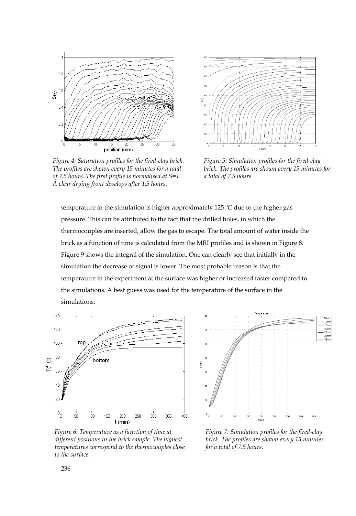

*Figure 4: Saturation profiles for the fired-clay brick. The profiles are shown every 15 minutes for a total of 7.5 hours. The first profile is normalised at S=1. A clear drying front develops after 1.5 hours.* 



*Figure 5: Simulation profiles for the fired-clay brick. The profiles are shown every 15 minutes for a total of 7.5 hours.* 

temperature in the simulation is higher approximately 125 ºC due to the higher gas pressure. This can be attributed to the fact that the drilled holes, in which the thermocouples are inserted, allow the gas to escape. The total amount of water inside the brick as a function of time is calculated from the MRI profiles and is shown in Figure 8. Figure 9 shows the integral of the simulation. One can clearly see that initially in the simulation the decrease of signal is lower. The most probable reason is that the temperature in the experiment at the surface was higher or increased faster compared to the simulations. A best guess was used for the temperature of the surface in the simulations.



*Figure 6: Temperature as a function of time at different positions in the brick sample. The highest temperatures correspond to the thermocouples close to the surface.* 



*Figure 7: Simulation profiles for the fired-clay brick. The profiles are shown every 15 minutes for a total of 7.5 hours.*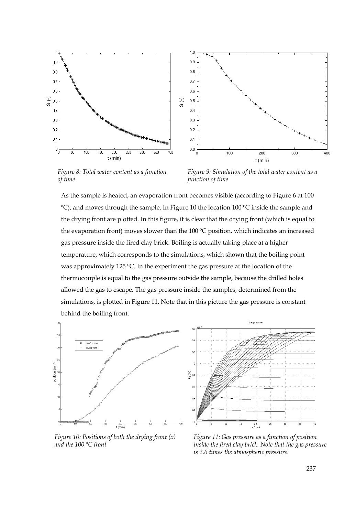



*Figure 8: Total water content as a function of time* 

*Figure 9: Simulation of the total water content as a function of time* 

As the sample is heated, an evaporation front becomes visible (according to Figure 6 at 100  $\degree$ C), and moves through the sample. In Figure 10 the location 100  $\degree$ C inside the sample and the drying front are plotted. In this figure, it is clear that the drying front (which is equal to the evaporation front) moves slower than the 100 ºC position, which indicates an increased gas pressure inside the fired clay brick. Boiling is actually taking place at a higher temperature, which corresponds to the simulations, which shown that the boiling point was approximately 125 ºC. In the experiment the gas pressure at the location of the thermocouple is equal to the gas pressure outside the sample, because the drilled holes allowed the gas to escape. The gas pressure inside the samples, determined from the simulations, is plotted in Figure 11. Note that in this picture the gas pressure is constant behind the boiling front.

 $2.6$ 



 $2\lambda$  $2\pi$ ed) b<sub>c</sub>  $1.6$  $\mathbf{L}^2$ ī.  $\frac{20}{x (mm)}$ 

Gas pressure

*Figure 10: Positions of both the drying front (x) and the 100 ºC front* 

*Figure 11: Gas pressure as a function of position inside the fired clay brick. Note that the gas pressure is 2.6 times the atmospheric pressure.*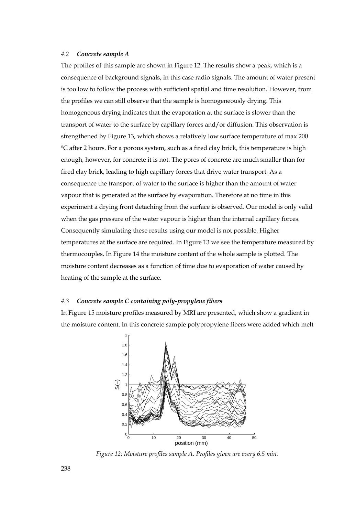#### *4.2 Concrete sample A*

The profiles of this sample are shown in Figure 12. The results show a peak, which is a consequence of background signals, in this case radio signals. The amount of water present is too low to follow the process with sufficient spatial and time resolution. However, from the profiles we can still observe that the sample is homogeneously drying. This homogeneous drying indicates that the evaporation at the surface is slower than the transport of water to the surface by capillary forces and/or diffusion. This observation is strengthened by Figure 13, which shows a relatively low surface temperature of max 200 ºC after 2 hours. For a porous system, such as a fired clay brick, this temperature is high enough, however, for concrete it is not. The pores of concrete are much smaller than for fired clay brick, leading to high capillary forces that drive water transport. As a consequence the transport of water to the surface is higher than the amount of water vapour that is generated at the surface by evaporation. Therefore at no time in this experiment a drying front detaching from the surface is observed. Our model is only valid when the gas pressure of the water vapour is higher than the internal capillary forces. Consequently simulating these results using our model is not possible. Higher temperatures at the surface are required. In Figure 13 we see the temperature measured by thermocouples. In Figure 14 the moisture content of the whole sample is plotted. The moisture content decreases as a function of time due to evaporation of water caused by heating of the sample at the surface.

#### *4.3 Concrete sample C containing poly-propylene fibers*

In Figure 15 moisture profiles measured by MRI are presented, which show a gradient in the moisture content. In this concrete sample polypropylene fibers were added which melt



*Figure 12: Moisture profiles sample A. Profiles given are every 6.5 min.*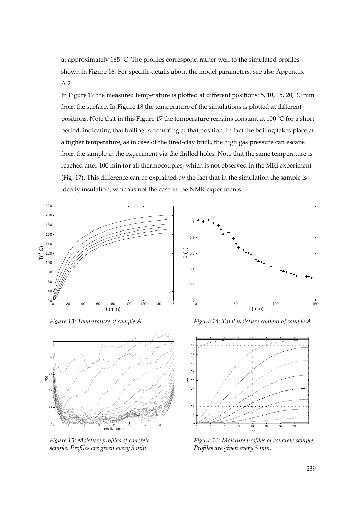at approximately 165 ºC. The profiles correspond rather well to the simulated profiles shown in Figure 16. For specific details about the model parameters, see also Appendix A.2.

In Figure 17 the measured temperature is plotted at different positions: 5, 10, 15, 20, 30 mm from the surface. In Figure 18 the temperature of the simulations is plotted at different positions. Note that in this Figure 17 the temperature remains constant at 100 ºC for a short period, indicating that boiling is occurring at that position. In fact the boiling takes place at a higher temperature, as in case of the fired-clay brick, the high gas pressure can escape from the sample in the experiment via the drilled holes. Note that the same temperature is reached after 100 min for all thermocouples, which is not observed in the MRI experiment (Fig. 17). This difference can be explained by the fact that in the simulation the sample is ideally insulation, which is not the case in the NMR experiments.

0.2

 $0.4$ 

0.6 S (−)

 $0.8$ 1



*Figure 13: Temperature of sample A Figure 14: Total moisture content of sample A* 



*Figure 15: Moisture profiles of concrete sample. Profiles are given every 5 min.* 

0 100 150<br>0 50 100 150 t (min)



*Figure 16: Moisture profiles of concrete sample. Profiles are given every 5 min.*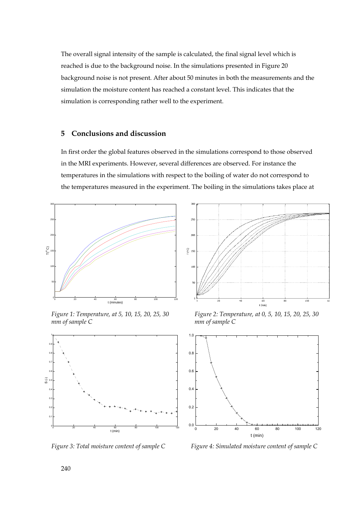The overall signal intensity of the sample is calculated, the final signal level which is reached is due to the background noise. In the simulations presented in Figure 20 background noise is not present. After about 50 minutes in both the measurements and the simulation the moisture content has reached a constant level. This indicates that the simulation is corresponding rather well to the experiment.

## **5 Conclusions and discussion**

In first order the global features observed in the simulations correspond to those observed in the MRI experiments. However, several differences are observed. For instance the temperatures in the simulations with respect to the boiling of water do not correspond to the temperatures measured in the experiment. The boiling in the simulations takes place at



*Figure 1: Temperature, at 5, 10, 15, 20, 25, 30 mm of sample C* 





*Figure 2: Temperature, at 0, 5, 10, 15, 20, 25, 30 mm of sample C* 



*Figure 3: Total moisture content of sample C Figure 4: Simulated moisture content of sample C*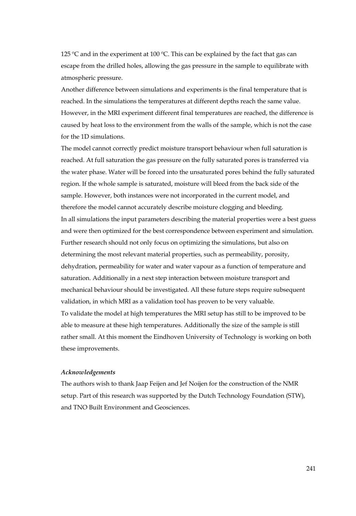125 °C and in the experiment at 100 °C. This can be explained by the fact that gas can escape from the drilled holes, allowing the gas pressure in the sample to equilibrate with atmospheric pressure.

Another difference between simulations and experiments is the final temperature that is reached. In the simulations the temperatures at different depths reach the same value. However, in the MRI experiment different final temperatures are reached, the difference is caused by heat loss to the environment from the walls of the sample, which is not the case for the 1D simulations.

The model cannot correctly predict moisture transport behaviour when full saturation is reached. At full saturation the gas pressure on the fully saturated pores is transferred via the water phase. Water will be forced into the unsaturated pores behind the fully saturated region. If the whole sample is saturated, moisture will bleed from the back side of the sample. However, both instances were not incorporated in the current model, and therefore the model cannot accurately describe moisture clogging and bleeding. In all simulations the input parameters describing the material properties were a best guess and were then optimized for the best correspondence between experiment and simulation. Further research should not only focus on optimizing the simulations, but also on determining the most relevant material properties, such as permeability, porosity, dehydration, permeability for water and water vapour as a function of temperature and saturation. Additionally in a next step interaction between moisture transport and mechanical behaviour should be investigated. All these future steps require subsequent validation, in which MRI as a validation tool has proven to be very valuable. To validate the model at high temperatures the MRI setup has still to be improved to be able to measure at these high temperatures. Additionally the size of the sample is still rather small. At this moment the Eindhoven University of Technology is working on both these improvements.

#### *Acknowledgements*

The authors wish to thank Jaap Feijen and Jef Noijen for the construction of the NMR setup. Part of this research was supported by the Dutch Technology Foundation (STW), and TNO Built Environment and Geosciences.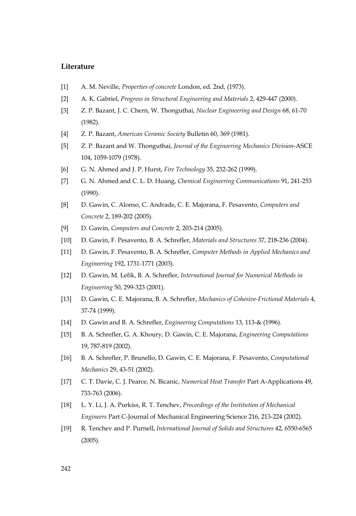#### **Literature**

- [1] A. M. Neville, *Properties of concrete* London, ed. 2nd, (1973).
- [2] A. K. Gabriel, *Progress in Structural Engineering and Materials* 2, 429-447 (2000).
- [3] Z. P. Bazant, J. C. Chern, W. Thonguthai, *Nuclear Engineering and Design* 68, 61-70 (1982).
- [4] Z. P. Bazant, *American Ceramic Society* Bulletin 60, 369 (1981).
- [5] Z. P. Bazant and W. Thonguthai, *Journal of the Engineering Mechanics Division*-ASCE 104, 1059-1079 (1978).
- [6] G. N. Ahmed and J. P. Hurst, *Fire Technology* 35, 232-262 (1999).
- [7] G. N. Ahmed and C. L. D. Huang, *Chemical Engineering Communications* 91, 241-253 (1990).
- [8] D. Gawin, C. Alonso, C. Andrade, C. E. Majorana, F. Pesavento, *Computers and Concrete* 2, 189-202 (2005).
- [9] D. Gawin, *Computers and Concrete* 2, 203-214 (2005).
- [10] D. Gawin, F. Pesavento, B. A. Schrefler, *Materials and Structures* 37, 218-236 (2004).
- [11] D. Gawin, F. Pesavento, B. A. Schrefler, *Computer Methods in Applied Mechanics and Engineering* 192, 1731-1771 (2003).
- [12] D. Gawin, M. Lefik, B. A. Schrefler, *International Journal for Numerical Methods in Engineering* 50, 299-323 (2001).
- [13] D. Gawin, C. E. Majorana, B. A. Schrefler, *Mechanics of Cohesive-Frictional Materials* 4, 37-74 (1999).
- [14] D. Gawin and B. A. Schrefler, *Engineering Computations* 13, 113-& (1996).
- [15] B. A. Schrefler, G. A. Khoury, D. Gawin, C. E. Majorana, *Engineering Computations* 19, 787-819 (2002).
- [16] B. A. Schrefler, P. Brunello, D. Gawin, C. E. Majorana, F. Pesavento, *Computational Mechanics* 29, 43-51 (2002).
- [17] C. T. Davie, C. J. Pearce, N. Bicanic, *Numerical Heat Transfer* Part A-Applications 49, 733-763 (2006).
- [18] L. Y. Li, J. A. Purkiss, R. T. Tenchev, *Proceedings of the Institution of Mechanical Engineers* Part C-Journal of Mechanical Engineering Science 216, 213-224 (2002).
- [19] R. Tenchev and P. Purnell, *International Journal of Solids and Structures* 42, 6550-6565 (2005).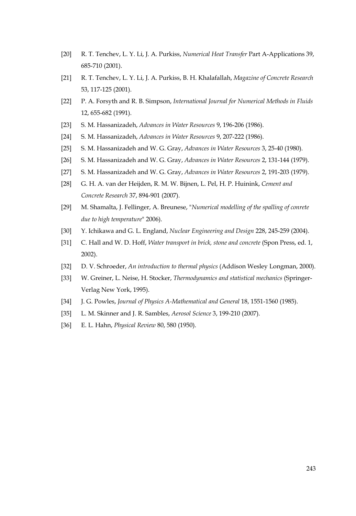- [20] R. T. Tenchev, L. Y. Li, J. A. Purkiss, *Numerical Heat Transfer* Part A-Applications 39, 685-710 (2001).
- [21] R. T. Tenchev, L. Y. Li, J. A. Purkiss, B. H. Khalafallah, *Magazine of Concrete Research* 53, 117-125 (2001).
- [22] P. A. Forsyth and R. B. Simpson, *International Journal for Numerical Methods in Fluids* 12, 655-682 (1991).
- [23] S. M. Hassanizadeh, *Advances in Water Resources* 9, 196-206 (1986).
- [24] S. M. Hassanizadeh, *Advances in Water Resources* 9, 207-222 (1986).
- [25] S. M. Hassanizadeh and W. G. Gray, *Advances in Water Resources* 3, 25-40 (1980).
- [26] S. M. Hassanizadeh and W. G. Gray, *Advances in Water Resources* 2, 131-144 (1979).
- [27] S. M. Hassanizadeh and W. G. Gray, *Advances in Water Resources* 2, 191-203 (1979).
- [28] G. H. A. van der Heijden, R. M. W. Bijnen, L. Pel, H. P. Huinink, *Cement and Concrete Research* 37, 894-901 (2007).
- [29] M. Shamalta, J. Fellinger, A. Breunese, "*Numerical modelling of the spalling of conrete due to high temperature*" 2006).
- [30] Y. Ichikawa and G. L. England, *Nuclear Engineering and Design* 228, 245-259 (2004).
- [31] C. Hall and W. D. Hoff, *Water transport in brick, stone and concrete* (Spon Press, ed. 1, 2002).
- [32] D. V. Schroeder, *An introduction to thermal physics* (Addison Wesley Longman, 2000).
- [33] W. Greiner, L. Neise, H. Stocker, *Thermodynamics and statistical mechanics* (Springer-Verlag New York, 1995).
- [34] J. G. Powles, *Journal of Physics A-Mathematical and General* 18, 1551-1560 (1985).
- [35] L. M. Skinner and J. R. Sambles, *Aerosol Science* 3, 199-210 (2007).
- [36] E. L. Hahn, *Physical Review* 80, 580 (1950).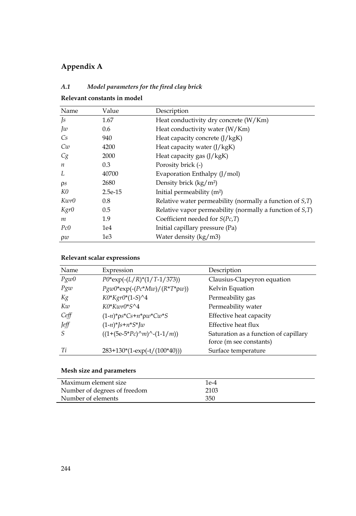# **Appendix A**

# *A.1 Model parameters for the fired clay brick*

| Name             | Value           | Description                                                     |
|------------------|-----------------|-----------------------------------------------------------------|
| $\sqrt{s}$       | 1.67            | Heat conductivity dry concrete (W/Km)                           |
| Jw               | 0.6             | Heat conductivity water (W/Km)                                  |
| Cs               | 940             | Heat capacity concrete $(J/kgK)$                                |
| Cw               | 4200            | Heat capacity water $(J/kgK)$                                   |
| Cg               | 2000            | Heat capacity gas (J/kgK)                                       |
| $\boldsymbol{n}$ | 0.3             | Porosity brick (-)                                              |
| L                | 40700           | Evaporation Enthalpy $(J/mol)$                                  |
| $\rho s$         | 2680            | Density brick (kg/m <sup>2</sup> )                              |
| K0               | $2.5e-15$       | Initial permeability $(m^2)$                                    |
| Kwr0             | 0.8             | Relative water permeability (normally a function of $S$ , $T$ ) |
| Kgr0             | 0.5             | Relative vapor permeability (normally a function of $S$ , $T$ ) |
| m                | 1.9             | Coefficient needed for $S(Pc,T)$                                |
| Pc0              | 1e4             | Initial capillary pressure (Pa)                                 |
| $\rho w$         | 1e <sub>3</sub> | Water density (kg/m3)                                           |

## **Relevant constants in model**

**Relevant scalar expressions** 

| Name  | Expression                                               | Description                                                      |
|-------|----------------------------------------------------------|------------------------------------------------------------------|
| Pg w0 | $P0*exp(-(L/R)*(1/T-1/373))$                             | Clausius-Clapeyron equation                                      |
| Pg w  | $Pg w 0^* exp(-(Pc^* M w)/(R^* T^* \rho w))$             | Kelvin Equation                                                  |
| Kg    | $K0*Kgr0*(1-S)^4$                                        | Permeability gas                                                 |
| Kw    | $K0*Kuv0*S^4$                                            | Permeability water                                               |
| Ceff  | $(1-n)^* \rho s^* C s + n^* \rho w^* C w^* S$            | Effective heat capacity                                          |
| Jeff  | $(1-n)^*$ [s+n*S*]w                                      | Effective heat flux                                              |
| -S    | $((1+(5e-5*Pc)\nightharpoonup m)\nightharpoonup(1-1/m))$ | Saturation as a function of capillary<br>force (m see constants) |
| Ti    | $283+130*(1-exp(-t/(100*40)))$                           | Surface temperature                                              |

# **Mesh size and parameters**

| Maximum element size         | 1e-4 |
|------------------------------|------|
| Number of degrees of freedom | 2103 |
| Number of elements           | 350  |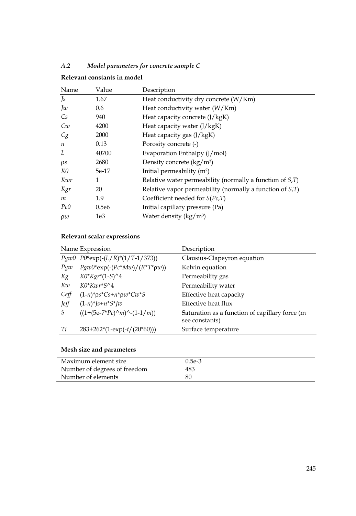| Name             | Value | Description                                                     |
|------------------|-------|-----------------------------------------------------------------|
| $\sqrt{s}$       | 1.67  | Heat conductivity dry concrete (W/Km)                           |
| Jw               | 0.6   | Heat conductivity water (W/Km)                                  |
| Cs.              | 940   | Heat capacity concrete $(I/kgK)$                                |
| Cw               | 4200  | Heat capacity water $(J/kgK)$                                   |
| Cg               | 2000  | Heat capacity gas $(J/kgK)$                                     |
| $\boldsymbol{n}$ | 0.13  | Porosity concrete (-)                                           |
| Ι.               | 40700 | Evaporation Enthalpy (J/mol)                                    |
| $\rho s$         | 2680  | Density concrete $(kg/m3)$                                      |
| K0               | 5e-17 | Initial permeability $(m^2)$                                    |
| Kwr              | 1     | Relative water permeability (normally a function of $S$ , $T$ ) |
| Kgr              | 20    | Relative vapor permeability (normally a function of $SiT$ )     |
| m                | 1.9   | Coefficient needed for $S(Pc,T)$                                |
| Pc0              | 0.5e6 | Initial capillary pressure (Pa)                                 |
| $\rho w$         | 1e3   | Water density $(kg/m3)$                                         |

*A.2 Model parameters for concrete sample C* 

**Relevant constants in model** 

# **Relevant scalar expressions**

|         | Name Expression                               | Description                                                       |
|---------|-----------------------------------------------|-------------------------------------------------------------------|
|         | $Pg w 0 P0^* exp(-(L/R)*(1/T-1/373))$         | Clausius-Clapeyron equation                                       |
| Pgw     | $Pg w 0^* exp(-(Pc^* M w)/(R^* T^* \rho w))$  | Kelvin equation                                                   |
| Kg      | $K0*Kgr*(1-S)^4$                              | Permeability gas                                                  |
| Kw      | $K0*K\eta\eta\gamma^*S^04$                    | Permeability water                                                |
| $C$ eff | $(1-n)^* \rho s^* C s + n^* \rho w^* C w^* S$ | Effective heat capacity                                           |
| Jeff    | $(1-n)^*$ [s+n*S*]w                           | Effective heat flux                                               |
| S       | $((1+(5e-7)e)^{n}m)^{n}-(1-1/m))$             | Saturation as a function of capillary force (m.<br>see constants) |
| Ti      | $283+262*(1-exp(-t/(20*60)))$                 | Surface temperature                                               |

## **Mesh size and parameters**

| Maximum element size         | $0.5e-3$ |  |
|------------------------------|----------|--|
| Number of degrees of freedom | 483      |  |
| Number of elements           | 80       |  |